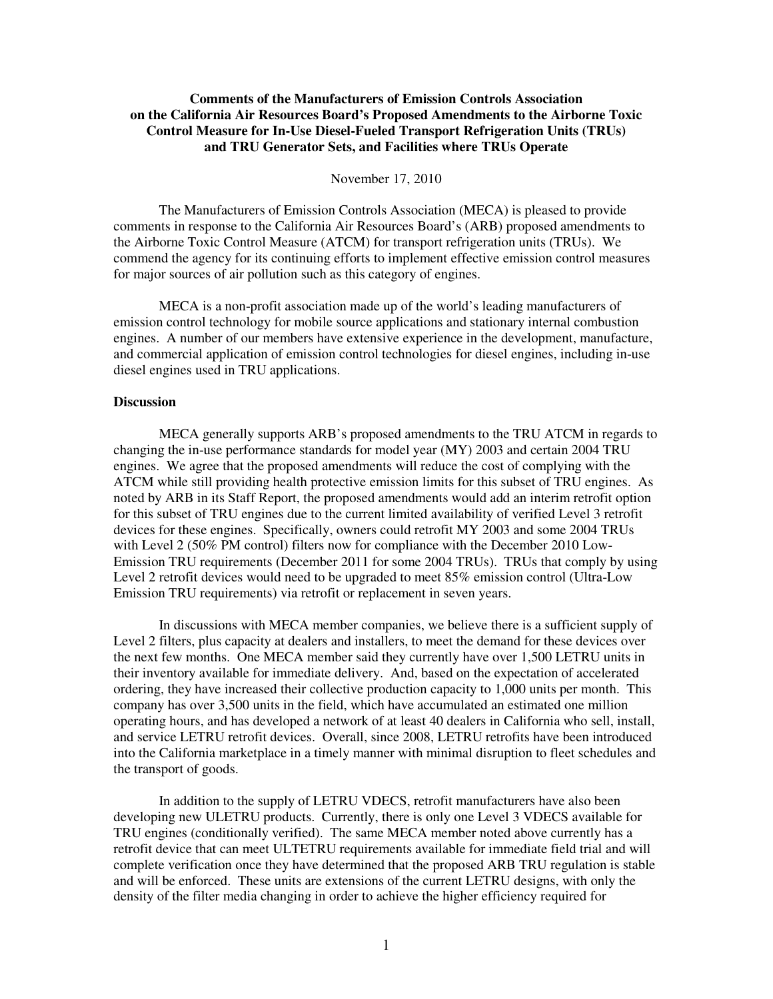## **Comments of the Manufacturers of Emission Controls Association on the California Air Resources Board's Proposed Amendments to the Airborne Toxic Control Measure for In-Use Diesel-Fueled Transport Refrigeration Units (TRUs) and TRU Generator Sets, and Facilities where TRUs Operate**

#### November 17, 2010

The Manufacturers of Emission Controls Association (MECA) is pleased to provide comments in response to the California Air Resources Board's (ARB) proposed amendments to the Airborne Toxic Control Measure (ATCM) for transport refrigeration units (TRUs). We commend the agency for its continuing efforts to implement effective emission control measures for major sources of air pollution such as this category of engines.

MECA is a non-profit association made up of the world's leading manufacturers of emission control technology for mobile source applications and stationary internal combustion engines. A number of our members have extensive experience in the development, manufacture, and commercial application of emission control technologies for diesel engines, including in-use diesel engines used in TRU applications.

## **Discussion**

 MECA generally supports ARB's proposed amendments to the TRU ATCM in regards to changing the in-use performance standards for model year (MY) 2003 and certain 2004 TRU engines. We agree that the proposed amendments will reduce the cost of complying with the ATCM while still providing health protective emission limits for this subset of TRU engines. As noted by ARB in its Staff Report, the proposed amendments would add an interim retrofit option for this subset of TRU engines due to the current limited availability of verified Level 3 retrofit devices for these engines. Specifically, owners could retrofit MY 2003 and some 2004 TRUs with Level 2 (50% PM control) filters now for compliance with the December 2010 Low-Emission TRU requirements (December 2011 for some 2004 TRUs). TRUs that comply by using Level 2 retrofit devices would need to be upgraded to meet 85% emission control (Ultra-Low Emission TRU requirements) via retrofit or replacement in seven years.

 In discussions with MECA member companies, we believe there is a sufficient supply of Level 2 filters, plus capacity at dealers and installers, to meet the demand for these devices over the next few months. One MECA member said they currently have over 1,500 LETRU units in their inventory available for immediate delivery. And, based on the expectation of accelerated ordering, they have increased their collective production capacity to 1,000 units per month. This company has over 3,500 units in the field, which have accumulated an estimated one million operating hours, and has developed a network of at least 40 dealers in California who sell, install, and service LETRU retrofit devices. Overall, since 2008, LETRU retrofits have been introduced into the California marketplace in a timely manner with minimal disruption to fleet schedules and the transport of goods.

 In addition to the supply of LETRU VDECS, retrofit manufacturers have also been developing new ULETRU products. Currently, there is only one Level 3 VDECS available for TRU engines (conditionally verified). The same MECA member noted above currently has a retrofit device that can meet ULTETRU requirements available for immediate field trial and will complete verification once they have determined that the proposed ARB TRU regulation is stable and will be enforced. These units are extensions of the current LETRU designs, with only the density of the filter media changing in order to achieve the higher efficiency required for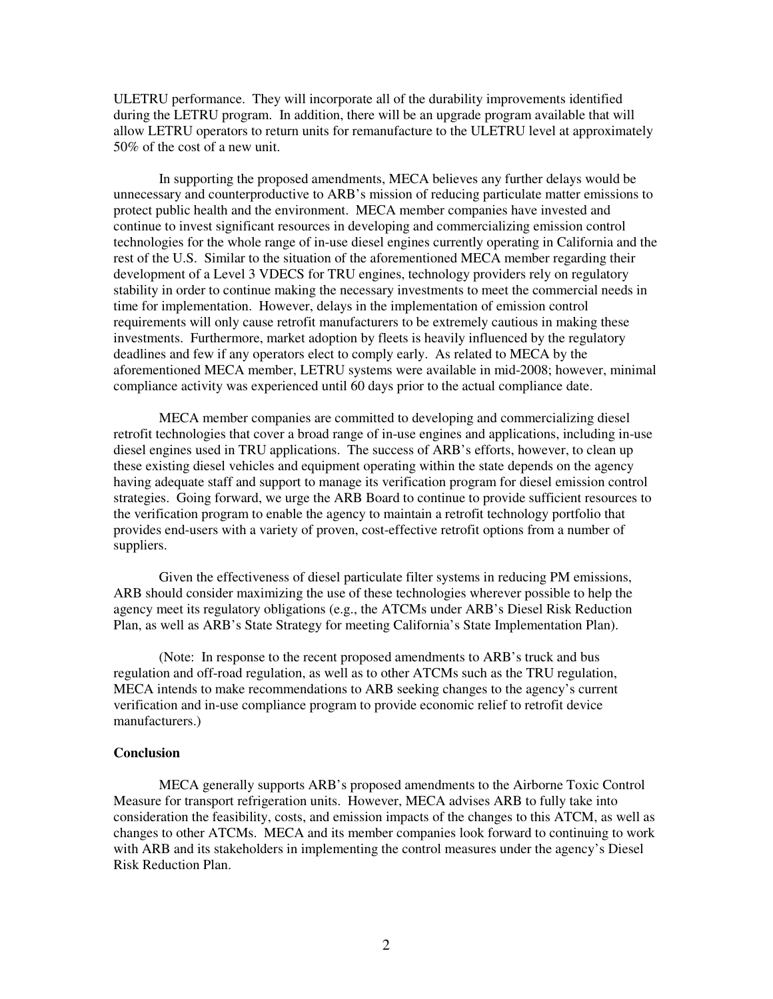ULETRU performance. They will incorporate all of the durability improvements identified during the LETRU program. In addition, there will be an upgrade program available that will allow LETRU operators to return units for remanufacture to the ULETRU level at approximately 50% of the cost of a new unit.

 In supporting the proposed amendments, MECA believes any further delays would be unnecessary and counterproductive to ARB's mission of reducing particulate matter emissions to protect public health and the environment. MECA member companies have invested and continue to invest significant resources in developing and commercializing emission control technologies for the whole range of in-use diesel engines currently operating in California and the rest of the U.S. Similar to the situation of the aforementioned MECA member regarding their development of a Level 3 VDECS for TRU engines, technology providers rely on regulatory stability in order to continue making the necessary investments to meet the commercial needs in time for implementation. However, delays in the implementation of emission control requirements will only cause retrofit manufacturers to be extremely cautious in making these investments. Furthermore, market adoption by fleets is heavily influenced by the regulatory deadlines and few if any operators elect to comply early. As related to MECA by the aforementioned MECA member, LETRU systems were available in mid-2008; however, minimal compliance activity was experienced until 60 days prior to the actual compliance date.

 MECA member companies are committed to developing and commercializing diesel retrofit technologies that cover a broad range of in-use engines and applications, including in-use diesel engines used in TRU applications. The success of ARB's efforts, however, to clean up these existing diesel vehicles and equipment operating within the state depends on the agency having adequate staff and support to manage its verification program for diesel emission control strategies. Going forward, we urge the ARB Board to continue to provide sufficient resources to the verification program to enable the agency to maintain a retrofit technology portfolio that provides end-users with a variety of proven, cost-effective retrofit options from a number of suppliers.

 Given the effectiveness of diesel particulate filter systems in reducing PM emissions, ARB should consider maximizing the use of these technologies wherever possible to help the agency meet its regulatory obligations (e.g., the ATCMs under ARB's Diesel Risk Reduction Plan, as well as ARB's State Strategy for meeting California's State Implementation Plan).

 (Note: In response to the recent proposed amendments to ARB's truck and bus regulation and off-road regulation, as well as to other ATCMs such as the TRU regulation, MECA intends to make recommendations to ARB seeking changes to the agency's current verification and in-use compliance program to provide economic relief to retrofit device manufacturers.)

#### **Conclusion**

MECA generally supports ARB's proposed amendments to the Airborne Toxic Control Measure for transport refrigeration units. However, MECA advises ARB to fully take into consideration the feasibility, costs, and emission impacts of the changes to this ATCM, as well as changes to other ATCMs. MECA and its member companies look forward to continuing to work with ARB and its stakeholders in implementing the control measures under the agency's Diesel Risk Reduction Plan.